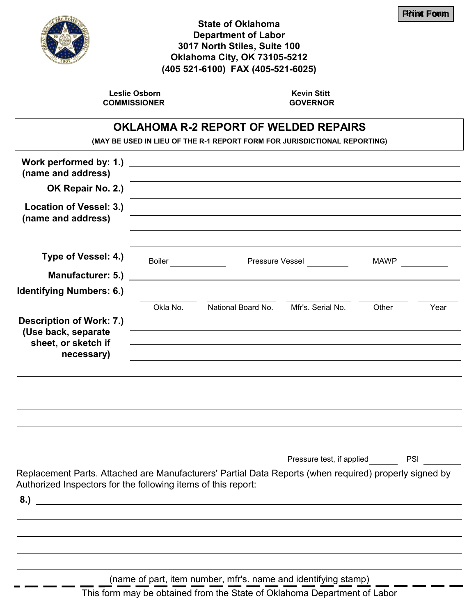

## **State of Oklahoma Department of Labor 3017 North Stiles, Suite 100 Oklahoma City, OK 73105-5212 (405 521-6100) FAX (405-521-6025)**

**Leslie Osborn COMMISSIONER**

**Kevin Stitt GOVERNOR**

## **OKLAHOMA R-2 REPORT OF WELDED REPAIRS**

**(MAY BE USED IN LIEU OF THE R-1 REPORT FORM FOR JURISDICTIONAL REPORTING)**

| Work performed by: 1.)<br>(name and address)                                                                                                                                  |          | <u> 1989 - John Stein, mars and de Britannich (b. 1989)</u>                                                                                                                                                                                                                                                                                                                                                                            |                                                                                                                      |             |            |
|-------------------------------------------------------------------------------------------------------------------------------------------------------------------------------|----------|----------------------------------------------------------------------------------------------------------------------------------------------------------------------------------------------------------------------------------------------------------------------------------------------------------------------------------------------------------------------------------------------------------------------------------------|----------------------------------------------------------------------------------------------------------------------|-------------|------------|
| OK Repair No. 2.)                                                                                                                                                             |          | <u> 1980 - Johann Stoff, amerikansk politiker (* 1900)</u><br><u> 1989 - Johann Barn, mars ann an t-Amhain an t-Amhain an t-Amhain an t-Amhain an t-Amhain an t-Amhain an t-Amh</u>                                                                                                                                                                                                                                                    |                                                                                                                      |             |            |
| Location of Vessel: 3.)<br>(name and address)                                                                                                                                 |          |                                                                                                                                                                                                                                                                                                                                                                                                                                        | <u> 1989 - Johann Stein, marwolaethau a bhann an t-Amhain an t-Amhain an t-Amhain an t-Amhain an t-Amhain an t-A</u> |             |            |
| Type of Vessel: 4.)<br>Manufacturer: 5.)                                                                                                                                      | Boiler   |                                                                                                                                                                                                                                                                                                                                                                                                                                        | Pressure Vessel                                                                                                      | <b>MAWP</b> |            |
| <b>Identifying Numbers: 6.)</b>                                                                                                                                               |          |                                                                                                                                                                                                                                                                                                                                                                                                                                        |                                                                                                                      |             |            |
| <b>Description of Work: 7.)</b><br>(Use back, separate<br>sheet, or sketch if<br>necessary)                                                                                   | Okla No. | National Board No.<br><u> 1989 - Johann Stoff, amerikansk politiker (d. 1989)</u><br>the control of the control of the control of the control of the control of the control of the control of the control of the control of the control of the control of the control of the control of the control of the control<br>and the control of the control of the control of the control of the control of the control of the control of the | Mfr's. Serial No.                                                                                                    | Other       | Year       |
|                                                                                                                                                                               |          |                                                                                                                                                                                                                                                                                                                                                                                                                                        |                                                                                                                      |             |            |
|                                                                                                                                                                               |          |                                                                                                                                                                                                                                                                                                                                                                                                                                        |                                                                                                                      |             |            |
|                                                                                                                                                                               |          |                                                                                                                                                                                                                                                                                                                                                                                                                                        | Pressure test, if applied                                                                                            |             | <b>PSI</b> |
| Replacement Parts. Attached are Manufacturers' Partial Data Reports (when required) properly signed by<br>Authorized Inspectors for the following items of this report:<br>8. |          |                                                                                                                                                                                                                                                                                                                                                                                                                                        |                                                                                                                      |             |            |
|                                                                                                                                                                               |          |                                                                                                                                                                                                                                                                                                                                                                                                                                        |                                                                                                                      |             |            |
|                                                                                                                                                                               |          |                                                                                                                                                                                                                                                                                                                                                                                                                                        |                                                                                                                      |             |            |
|                                                                                                                                                                               |          |                                                                                                                                                                                                                                                                                                                                                                                                                                        |                                                                                                                      |             |            |
|                                                                                                                                                                               |          | (name of part, item number, mfr's. name and identifying stamp)                                                                                                                                                                                                                                                                                                                                                                         |                                                                                                                      |             |            |

This form may be obtained from the State of Oklahoma Department of Labor